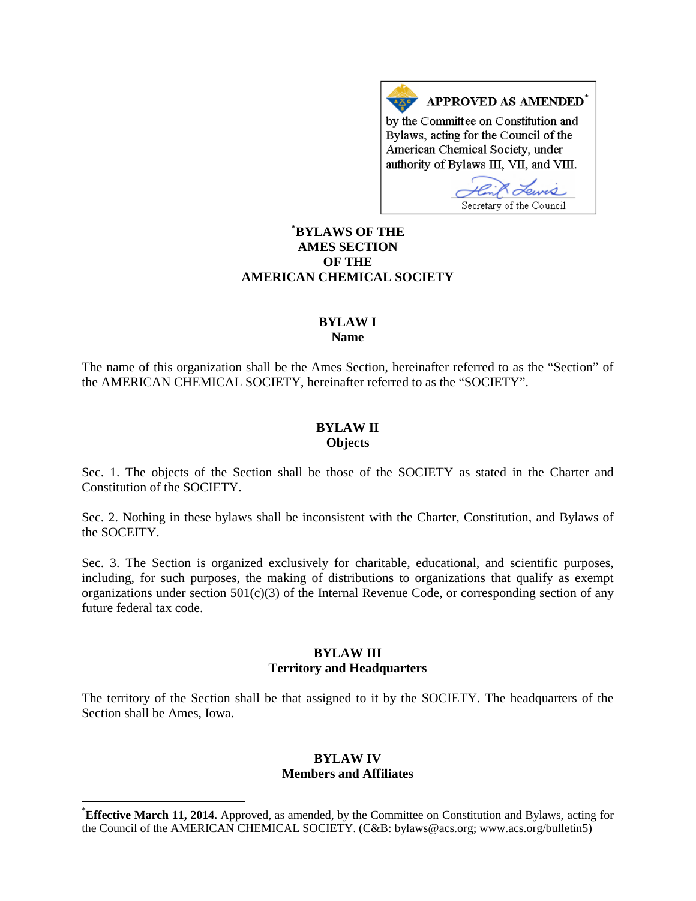APPROVED AS AMENDED\* by the Committee on Constitution and Bylaws, acting for the Council of the American Chemical Society, under authority of Bylaws III, VII, and VIII.

Secretary of the Council

# **[\\*](#page-0-0) BYLAWS OF THE AMES SECTION OF THE AMERICAN CHEMICAL SOCIETY**

#### **BYLAW I Name**

The name of this organization shall be the Ames Section, hereinafter referred to as the "Section" of the AMERICAN CHEMICAL SOCIETY, hereinafter referred to as the "SOCIETY".

## **BYLAW II Objects**

Sec. 1. The objects of the Section shall be those of the SOCIETY as stated in the Charter and Constitution of the SOCIETY.

Sec. 2. Nothing in these bylaws shall be inconsistent with the Charter, Constitution, and Bylaws of the SOCEITY.

Sec. 3. The Section is organized exclusively for charitable, educational, and scientific purposes, including, for such purposes, the making of distributions to organizations that qualify as exempt organizations under section 501(c)(3) of the Internal Revenue Code, or corresponding section of any future federal tax code.

## **BYLAW III Territory and Headquarters**

The territory of the Section shall be that assigned to it by the SOCIETY. The headquarters of the Section shall be Ames, Iowa.

## **BYLAW IV Members and Affiliates**

<span id="page-0-0"></span> <sup>\*</sup> **Effective March 11, 2014.** Approved, as amended, by the Committee on Constitution and Bylaws, acting for the Council of the AMERICAN CHEMICAL SOCIETY. (C&B: bylaws@acs.org; www.acs.org/bulletin5)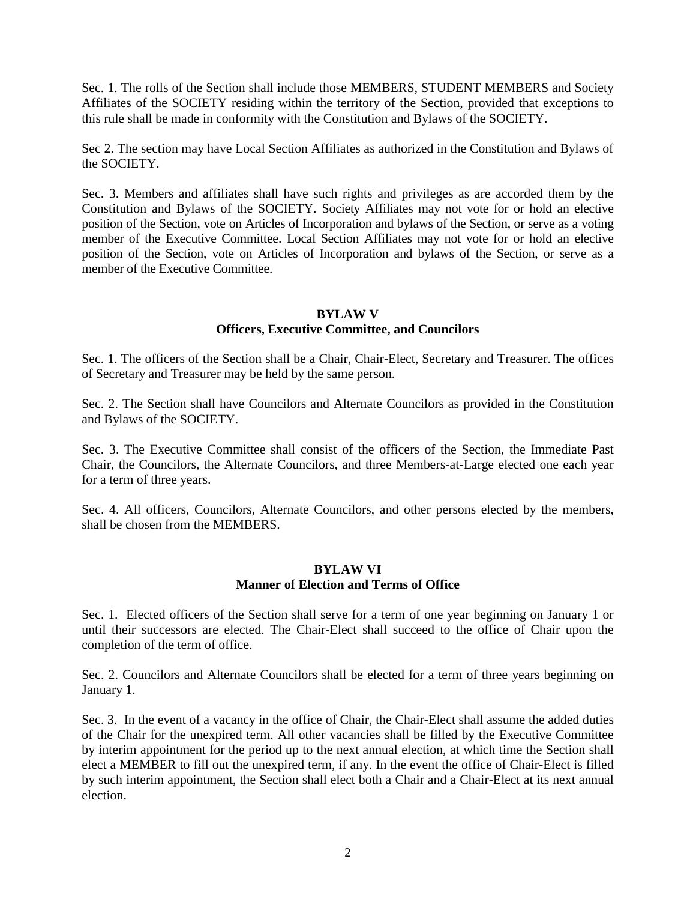Sec. 1. The rolls of the Section shall include those MEMBERS, STUDENT MEMBERS and Society Affiliates of the SOCIETY residing within the territory of the Section, provided that exceptions to this rule shall be made in conformity with the Constitution and Bylaws of the SOCIETY.

Sec 2. The section may have Local Section Affiliates as authorized in the Constitution and Bylaws of the SOCIETY.

Sec. 3. Members and affiliates shall have such rights and privileges as are accorded them by the Constitution and Bylaws of the SOCIETY. Society Affiliates may not vote for or hold an elective position of the Section, vote on Articles of Incorporation and bylaws of the Section, or serve as a voting member of the Executive Committee. Local Section Affiliates may not vote for or hold an elective position of the Section, vote on Articles of Incorporation and bylaws of the Section, or serve as a member of the Executive Committee.

## **BYLAW V**

# **Officers, Executive Committee, and Councilors**

Sec. 1. The officers of the Section shall be a Chair, Chair-Elect, Secretary and Treasurer. The offices of Secretary and Treasurer may be held by the same person.

Sec. 2. The Section shall have Councilors and Alternate Councilors as provided in the Constitution and Bylaws of the SOCIETY.

Sec. 3. The Executive Committee shall consist of the officers of the Section, the Immediate Past Chair, the Councilors, the Alternate Councilors, and three Members-at-Large elected one each year for a term of three years.

Sec. 4. All officers, Councilors, Alternate Councilors, and other persons elected by the members, shall be chosen from the MEMBERS.

### **BYLAW VI Manner of Election and Terms of Office**

Sec. 1. Elected officers of the Section shall serve for a term of one year beginning on January 1 or until their successors are elected. The Chair-Elect shall succeed to the office of Chair upon the completion of the term of office.

Sec. 2. Councilors and Alternate Councilors shall be elected for a term of three years beginning on January 1.

Sec. 3. In the event of a vacancy in the office of Chair, the Chair-Elect shall assume the added duties of the Chair for the unexpired term. All other vacancies shall be filled by the Executive Committee by interim appointment for the period up to the next annual election, at which time the Section shall elect a MEMBER to fill out the unexpired term, if any. In the event the office of Chair-Elect is filled by such interim appointment, the Section shall elect both a Chair and a Chair-Elect at its next annual election.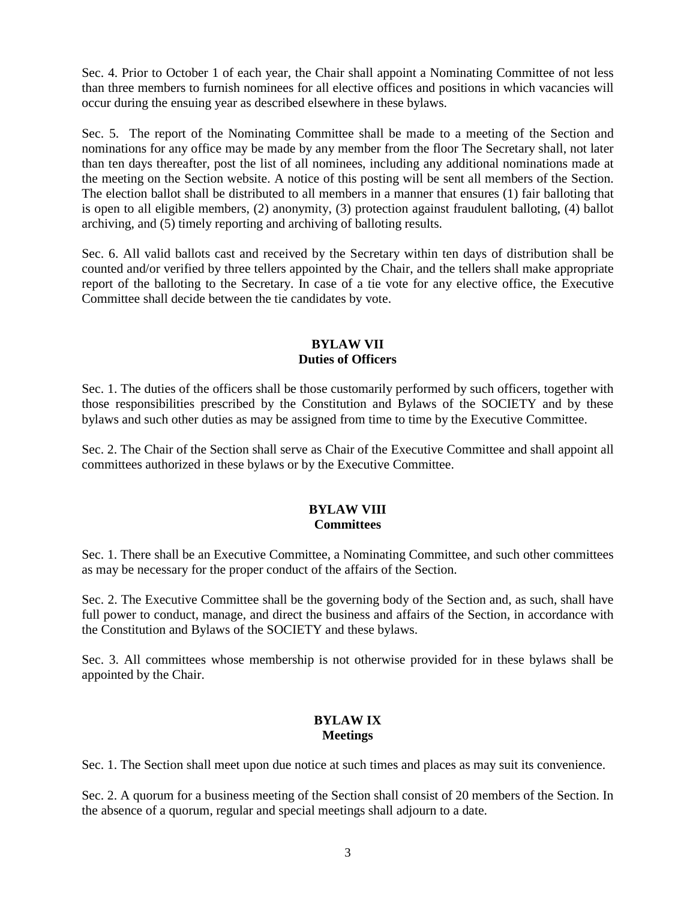Sec. 4. Prior to October 1 of each year, the Chair shall appoint a Nominating Committee of not less than three members to furnish nominees for all elective offices and positions in which vacancies will occur during the ensuing year as described elsewhere in these bylaws.

Sec. 5. The report of the Nominating Committee shall be made to a meeting of the Section and nominations for any office may be made by any member from the floor The Secretary shall, not later than ten days thereafter, post the list of all nominees, including any additional nominations made at the meeting on the Section website. A notice of this posting will be sent all members of the Section. The election ballot shall be distributed to all members in a manner that ensures (1) fair balloting that is open to all eligible members, (2) anonymity, (3) protection against fraudulent balloting, (4) ballot archiving, and (5) timely reporting and archiving of balloting results.

Sec. 6. All valid ballots cast and received by the Secretary within ten days of distribution shall be counted and/or verified by three tellers appointed by the Chair, and the tellers shall make appropriate report of the balloting to the Secretary. In case of a tie vote for any elective office, the Executive Committee shall decide between the tie candidates by vote.

### **BYLAW VII Duties of Officers**

Sec. 1. The duties of the officers shall be those customarily performed by such officers, together with those responsibilities prescribed by the Constitution and Bylaws of the SOCIETY and by these bylaws and such other duties as may be assigned from time to time by the Executive Committee.

Sec. 2. The Chair of the Section shall serve as Chair of the Executive Committee and shall appoint all committees authorized in these bylaws or by the Executive Committee.

## **BYLAW VIII Committees**

Sec. 1. There shall be an Executive Committee, a Nominating Committee, and such other committees as may be necessary for the proper conduct of the affairs of the Section.

Sec. 2. The Executive Committee shall be the governing body of the Section and, as such, shall have full power to conduct, manage, and direct the business and affairs of the Section, in accordance with the Constitution and Bylaws of the SOCIETY and these bylaws.

Sec. 3. All committees whose membership is not otherwise provided for in these bylaws shall be appointed by the Chair.

# **BYLAW IX Meetings**

Sec. 1. The Section shall meet upon due notice at such times and places as may suit its convenience.

Sec. 2. A quorum for a business meeting of the Section shall consist of 20 members of the Section. In the absence of a quorum, regular and special meetings shall adjourn to a date.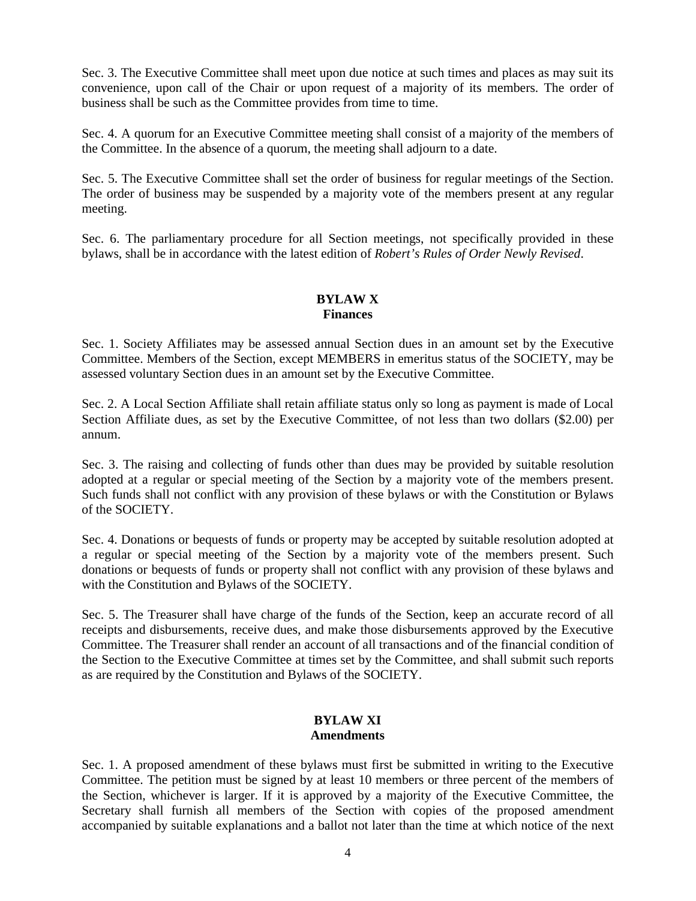Sec. 3. The Executive Committee shall meet upon due notice at such times and places as may suit its convenience, upon call of the Chair or upon request of a majority of its members. The order of business shall be such as the Committee provides from time to time.

Sec. 4. A quorum for an Executive Committee meeting shall consist of a majority of the members of the Committee. In the absence of a quorum, the meeting shall adjourn to a date.

Sec. 5. The Executive Committee shall set the order of business for regular meetings of the Section. The order of business may be suspended by a majority vote of the members present at any regular meeting.

Sec. 6. The parliamentary procedure for all Section meetings, not specifically provided in these bylaws, shall be in accordance with the latest edition of *Robert's Rules of Order Newly Revised*.

#### **BYLAW X Finances**

Sec. 1. Society Affiliates may be assessed annual Section dues in an amount set by the Executive Committee. Members of the Section, except MEMBERS in emeritus status of the SOCIETY, may be assessed voluntary Section dues in an amount set by the Executive Committee.

Sec. 2. A Local Section Affiliate shall retain affiliate status only so long as payment is made of Local Section Affiliate dues, as set by the Executive Committee, of not less than two dollars (\$2.00) per annum.

Sec. 3. The raising and collecting of funds other than dues may be provided by suitable resolution adopted at a regular or special meeting of the Section by a majority vote of the members present. Such funds shall not conflict with any provision of these bylaws or with the Constitution or Bylaws of the SOCIETY.

Sec. 4. Donations or bequests of funds or property may be accepted by suitable resolution adopted at a regular or special meeting of the Section by a majority vote of the members present. Such donations or bequests of funds or property shall not conflict with any provision of these bylaws and with the Constitution and Bylaws of the SOCIETY.

Sec. 5. The Treasurer shall have charge of the funds of the Section, keep an accurate record of all receipts and disbursements, receive dues, and make those disbursements approved by the Executive Committee. The Treasurer shall render an account of all transactions and of the financial condition of the Section to the Executive Committee at times set by the Committee, and shall submit such reports as are required by the Constitution and Bylaws of the SOCIETY.

## **BYLAW XI Amendments**

Sec. 1. A proposed amendment of these bylaws must first be submitted in writing to the Executive Committee. The petition must be signed by at least 10 members or three percent of the members of the Section, whichever is larger. If it is approved by a majority of the Executive Committee, the Secretary shall furnish all members of the Section with copies of the proposed amendment accompanied by suitable explanations and a ballot not later than the time at which notice of the next